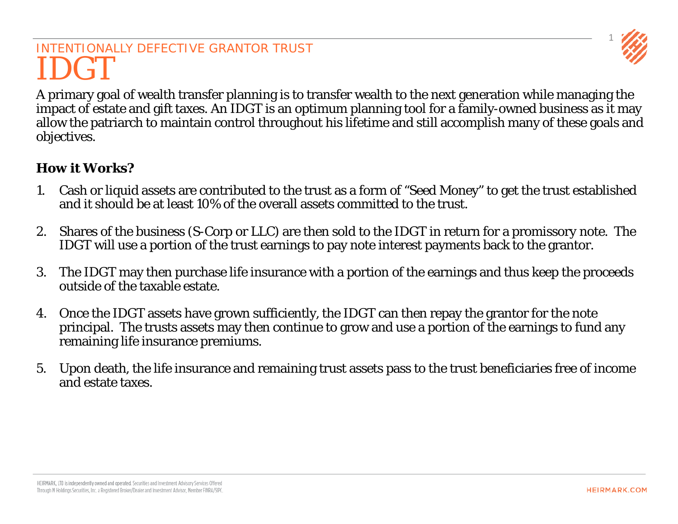## INTENTIONALLY DEFECTIVE GRANTOR TRUST IDGT

1

A primary goal of wealth transfer planning is to transfer wealth to the next generation while managing the impact of estate and gift taxes. An IDGT is an optimum planning tool for a family-owned business as it may allow the patriarch to maintain control throughout his lifetime and still accomplish many of these goals and objectives.

#### **How it Works?**

- 1. Cash or liquid assets are contributed to the trust as a form of "Seed Money" to get the trust established and it should be at least 10% of the overall assets committed to the trust.
- 2. Shares of the business (S-Corp or LLC) are then sold to the IDGT in return for a promissory note. The IDGT will use a portion of the trust earnings to pay note interest payments back to the grantor.
- 3. The IDGT may then purchase life insurance with a portion of the earnings and thus keep the proceeds outside of the taxable estate.
- 4. Once the IDGT assets have grown sufficiently, the IDGT can then repay the grantor for the note principal. The trusts assets may then continue to grow and use a portion of the earnings to fund any remaining life insurance premiums.
- 5. Upon death, the life insurance and remaining trust assets pass to the trust beneficiaries free of income and estate taxes.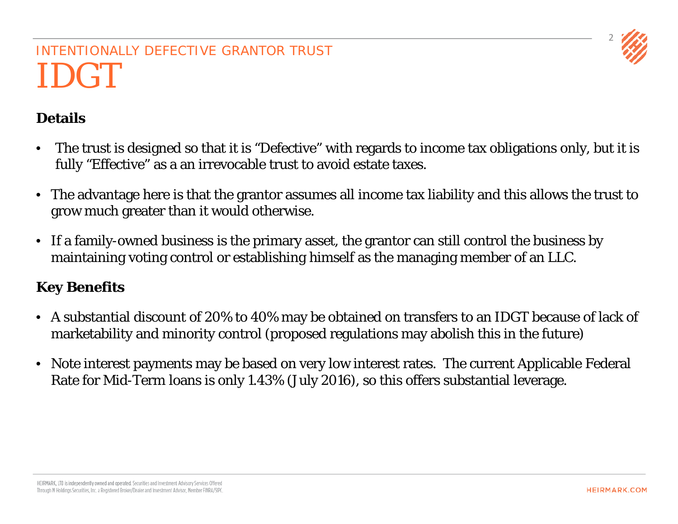

## INTENTIONALLY DEFECTIVE GRANTOR TRUST IDGT

### **Details**

- The trust is designed so that it is "Defective" with regards to income tax obligations only, but it is fully "Effective" as a an irrevocable trust to avoid estate taxes.
- The advantage here is that the grantor assumes all income tax liability and this allows the trust to grow much greater than it would otherwise.
- If a family-owned business is the primary asset, the grantor can still control the business by maintaining voting control or establishing himself as the managing member of an LLC.

#### **Key Benefits**

- A substantial discount of 20% to 40% may be obtained on transfers to an IDGT because of lack of marketability and minority control (proposed regulations may abolish this in the future)
- Note interest payments may be based on very low interest rates. The current Applicable Federal Rate for Mid-Term loans is only 1.43% (July 2016), so this offers substantial leverage.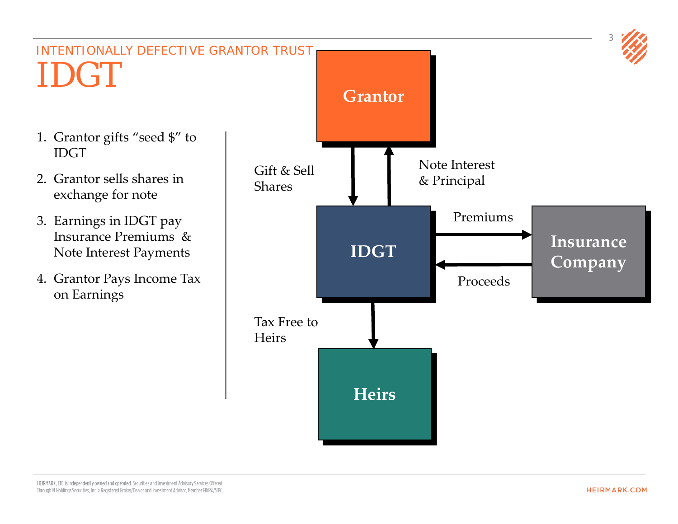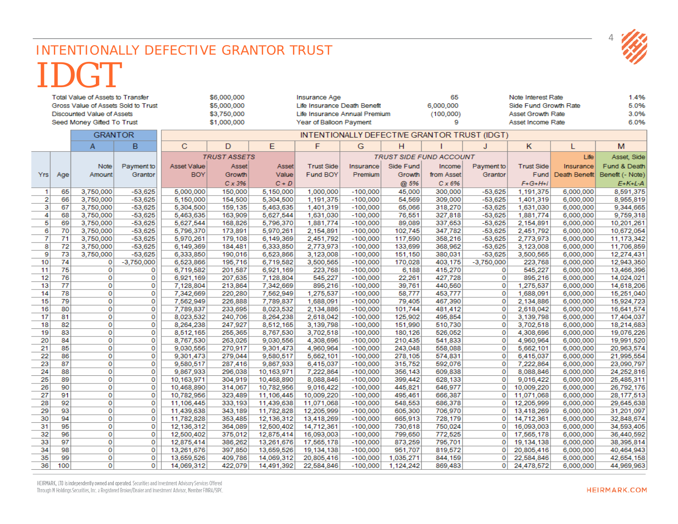#### INTENTIONALLY DEFECTIVE GRANTOR TRUST IDGT  $\sim$  222, 222 and the company of the company

|                            |          | <b>Total Value of Assets to Transfer</b> |                                     |                                              | \$6,000,000<br>\$5,000,000 |                        | <b>Insurance Age</b>                                          |                                |                    | 65<br>6,000,000    | Note Interest Rate                                |                        |                        | 1.4%<br>5.0%             |  |
|----------------------------|----------|------------------------------------------|-------------------------------------|----------------------------------------------|----------------------------|------------------------|---------------------------------------------------------------|--------------------------------|--------------------|--------------------|---------------------------------------------------|------------------------|------------------------|--------------------------|--|
|                            |          | <b>Discounted Value of Assets</b>        | Gross Value of Assets Sold to Trust |                                              | \$3,750,000                |                        | Life Insurance Death Benefit<br>Life Insurance Annual Premium |                                |                    | (100,000)          | Side Fund Growth Rate<br><b>Asset Growth Rate</b> |                        |                        | 3.0%                     |  |
|                            |          |                                          |                                     |                                              | \$1,000,000                |                        | Year of Balloon Payment                                       |                                |                    | 9                  | Asset Income Rate                                 |                        |                        | 6.0%                     |  |
| Seed Money Gifted To Trust |          |                                          |                                     |                                              |                            |                        |                                                               |                                |                    |                    |                                                   |                        |                        |                          |  |
| <b>GRANTOR</b>             |          |                                          |                                     | INTENTIONALLY DEFECTIVE GRANTOR TRUST (IDGT) |                            |                        |                                                               |                                |                    |                    |                                                   |                        |                        |                          |  |
|                            |          | A                                        | B                                   | C                                            | D                          | E                      | F                                                             | G                              | H                  |                    | J                                                 | K.                     | т                      | M                        |  |
|                            |          |                                          |                                     |                                              | <b>TRUST ASSETS</b>        |                        |                                                               | <b>TRUST SIDE FUND ACCOUNT</b> |                    |                    |                                                   |                        | Life                   | Asset, Side              |  |
|                            |          | <b>Note</b>                              | Payment to                          | <b>Asset Value</b>                           | Asset                      | Asset                  | <b>Trust Side</b>                                             | Insurance                      | Side Fund          | Income             | Payment to                                        | <b>Trust Side</b>      | Insurance              | Fund & Death             |  |
| <b>Yrs</b>                 | Age      | Amount                                   | Grantor                             | <b>BOY</b>                                   | Growth                     | Value                  | Fund BOY                                                      | Premium                        | Growth             | from Asset         | Grantor                                           | Fund                   | Death Benefit          | Benefit (- Note)         |  |
|                            |          |                                          |                                     |                                              | $C \times 3\%$             | $C + D$                |                                                               |                                | @ 5%               | Cx6%               |                                                   | $F + G + H + I$        |                        | $E+K+L-A$                |  |
| $\mathbf{1}$               | 65       | 3,750,000                                | $-53,625$                           | 5,000,000                                    | 150,000                    | 5,150,000              | 1,000,000                                                     | $-100,000$                     | 45,000             | 300,000            | $-53,625$                                         | 1,191,375              | 6,000,000              | 8,591,375                |  |
| $\mathbf{2}$               | 66       | 3,750,000                                | $-53,625$                           | 5,150,000                                    | 154,500                    | 5,304,500              | 1,191,375                                                     | $-100,000$                     | 54,569             | 309,000            | $-53,625$                                         | 1,401,319              | 6,000,000              | 8,955,819                |  |
| 3                          | 67       | 3,750,000                                | $-53,625$                           | 5,304,500                                    | 159,135                    | 5,463,635              | 1,401,319                                                     | $-100,000$                     | 65,066             | 318,270            | $-53,625$                                         | 1,631,030              | 6,000,000              | 9,344,665                |  |
| $\vert$                    | 68       | 3,750,000                                | $-53,625$                           | 5,463,635                                    | 163,909                    | 5,627,544              | 1,631,030                                                     | $-100,000$                     | 76,551             | 327,818            | $-53,625$                                         | 1,881,774              | 6,000,000              | 9,759,318                |  |
| 5                          | 69       | 3,750,000                                | $-53,625$                           | 5,627,544                                    | 168,826                    | 5,796,370              | 1,881,774                                                     | $-100,000$                     | 89,089             | 337,653            | $-53,625$                                         | 2,154,891              | 6,000,000              | 10,201,261               |  |
| 6                          | 70       | 3,750,000                                | $-53,625$                           | 5,796,370                                    | 173,891                    | 5,970,261              | 2,154,891                                                     | $-100,000$                     | 102,745            | 347,782            | $-53,625$                                         | 2,451,792              | 6,000,000              | 10,672,054               |  |
| 7                          | 71       | 3,750,000                                | $-53,625$                           | 5,970,261                                    | 179,108                    | 6,149,369              | 2,451,792                                                     | $-100,000$                     | 117,590            | 358,216            | $-53,625$                                         | 2,773,973              | 6,000,000              | 11,173,342               |  |
| 8                          | 72       | 3.750,000                                | $-53,625$                           | 6,149,369                                    | 184,481                    | 6,333,850              | 2,773,973                                                     | $-100,000$                     | 133,699            | 368,962            | $-53,625$                                         | 3.123.008              | 6,000,000              | 11,706,859               |  |
| 9                          | 73       | 3,750,000                                | $-53,625$                           | 6,333,850                                    | 190,016                    | 6,523,866              | 3,123,008                                                     | $-100,000$                     | 151,150            | 380,031            | $-53,625$                                         | 3,500,565              | 6,000,000              | 12,274,431               |  |
| 10                         | 74       | 0                                        | $-3,750,000$                        | 6,523,866                                    | 195,716                    | 6,719,582              | 3,500,565                                                     | $-100,000$                     | 170,028            | 403,175            | $-3,750,000$                                      | 223,768                | 6,000,000              | 12,943,350               |  |
| 11                         | 75       | $\bf{0}$                                 | 0                                   | 6,719,582                                    | 201,587                    | 6,921,169              | 223,768                                                       | $-100,000$                     | 6,188              | 415,270            | 0                                                 | 545,227                | 6,000,000              | 13,466,396               |  |
| 12                         | 76       | 0                                        | $\mathbf{0}$                        | 6,921,169                                    | 207,635                    | 7,128,804              | 545,227                                                       | $-100,000$                     | 22,261             | 427,728            | $\mathbf{0}$                                      | 895,216                | 6,000,000              | 14,024,021               |  |
| 13                         | 77<br>78 | $\mathbf 0$                              | $\mathbf 0$                         | 7,128,804                                    | 213,864                    | 7,342,669              | 895,216                                                       | $-100,000$                     | 39,761             | 440,560            | 0                                                 | 1,275,537              | 6,000,000              | 14,618,206               |  |
| 14                         |          | $\bf{0}$                                 | 0<br>$\bf{0}$                       | 7,342,669                                    | 220,280                    | 7,562,949              | 1,275,537                                                     | $-100,000$                     | 58,777             | 453,777            | 0<br>o                                            | 1,688,091              | 6,000,000              | 15,251,040               |  |
| 15<br>16                   | 79<br>80 | 0<br>0                                   | 0                                   | 7,562,949<br>7,789,837                       | 226,888                    | 7,789,837<br>8,023,532 | 1,688,091                                                     | $-100,000$<br>$-100,000$       | 79,405             | 467,390<br>481,412 |                                                   | 2,134,886<br>2,618,042 | 6,000,000<br>6,000,000 | 15,924,723               |  |
| 17                         | 81       | $\bf{0}$                                 | $\mathbf{0}$                        | 8.023.532                                    | 233,695<br>240,706         | 8.264.238              | 2,134,886<br>2.618.042                                        | $-100,000$                     | 101,744<br>125,902 | 495.854            | 0<br>0                                            | 3.139.798              | 6,000,000              | 16,641,574<br>17,404,037 |  |
| 18                         | 82       | $\bf{0}$                                 | $\overline{0}$                      | 8,264,238                                    | 247,927                    | 8,512,165              | 3,139,798                                                     | $-100,000$                     | 151,990            | 510,730            | 0                                                 | 3,702,518              | 6,000,000              |                          |  |
| 19                         | 83       | $\bf{0}$                                 | $\bf{0}$                            | 8,512,165                                    | 255,365                    | 8,767,530              | 3,702,518                                                     | $-100,000$                     | 180,126            | 526,052            | 0                                                 | 4,308,696              | 6,000,000              | 18,214,683<br>19,076,226 |  |
| 20                         | 84       | 0                                        | $\mathbf{0}$                        | 8,767,530                                    | 263,026                    | 9,030,556              | 4,308,696                                                     | $-100,000$                     | 210,435            | 541,833            | $\mathbf{0}$                                      | 4,960,964              | 6,000,000              | 19,991,520               |  |
| 21                         | 85       | $\mathbf 0$                              | $\bf{0}$                            | 9,030,556                                    | 270,917                    | 9,301,473              | 4,960,964                                                     | $-100,000$                     | 243,048            | 558,088            | 0                                                 | 5,662,101              | 6,000,000              | 20,963,574               |  |
| 22                         | 86       | $\bf{0}$                                 | $\mathbf{O}$                        | 9.301.473                                    | 279,044                    | 9,580,517              | 5,662,101                                                     | $-100,000$                     | 278,105            | 574,831            | 0                                                 | 6,415,037              | 6,000,000              | 21,995,554               |  |
| 23                         | 87       | $\mathbf 0$                              | $\mathbf{0}$                        | 9,580,517                                    | 287,416                    | 9,867,933              | 6,415,037                                                     | $-100,000$                     | 315,752            | 592,076            | 0                                                 | 7,222,864              | 6,000,000              | 23,090,797               |  |
| 24                         | 88       | 0                                        | 0                                   | 9,867,933                                    | 296,038                    | 10,163,971             | 7,222,864                                                     | $-100,000$                     | 356,143            | 609,838            | 0                                                 | 8,088,846              | 6,000,000              | 24,252,816               |  |
| 25                         | 89       | 0                                        | $\mathbf 0$                         | 10,163,971                                   | 304,919                    | 10,468,890             | 8,088,846                                                     | $-100,000$                     | 399,442            | 628,133            | 0                                                 | 9,016,422              | 6,000,000              | 25,485,311               |  |
| 26                         | 90       | 0                                        | 0                                   | 10,468,890                                   | 314,067                    | 10,782,956             | 9,016,422                                                     | $-100,000$                     | 445,821            | 646,977            |                                                   | 10,009,220             | 6,000,000              | 26,792,176               |  |
| 27                         | 91       | $\bf{0}$                                 | $\mathbf 0$                         | 10.782.956                                   | 323,489                    | 11.106.445             | 10,009,220                                                    | $-100,000$                     | 495.461            | 666,387            | $\mathbf{0}$                                      | 11,071,068             | 6,000,000              | 28, 177, 513             |  |
| 28                         | 92       | 0                                        | $\mathbf{0}$                        | 11,106,445                                   | 333,193                    | 11,439,638             | 11,071,068                                                    | $-100,000$                     | 548,553            | 686,378            | $\mathbf{0}$                                      | 12,205,999             | 6,000,000              | 29,645,638               |  |
| 29                         | 93       | $\bf{0}$                                 | $\bf{0}$                            | 11,439,638                                   | 343,189                    | 11,782,828             | 12,205,999                                                    | $-100,000$                     | 605,300            | 706,970            | $\mathbf{0}$                                      | 13,418,269             | 6,000,000              | 31,201,097               |  |
| 30                         | 94       | $\bf{0}$                                 | $\mathbf{0}$                        | 11,782,828                                   | 353,485                    | 12,136,312             | 13,418,269                                                    | $-100,000$                     | 665,913            | 728,179            | $\Omega$                                          | 14,712,361             | 6,000,000              | 32,848,674               |  |
| 31                         | 95       | $\bf{0}$                                 | $\mathbf{0}$                        | 12,136,312                                   | 364,089                    | 12,500,402             | 14,712,361                                                    | $-100,000$                     | 730,618            | 750,024            | $\mathbf{O}$                                      | 16,093,003             | 6,000,000              | 34,593,405               |  |
| 32                         | 96       | $\bf{0}$                                 | $\mathbf{0}$                        | 12,500,402                                   | 375,012                    | 12,875,414             | 16,093,003                                                    | $-100,000$                     | 799,650            | 772,525            | $\Omega$                                          | 17,565,178             | 6,000,000              | 36,440,592               |  |
| 33                         | 97       | 0                                        | $\overline{0}$                      | 12,875,414                                   | 386,262                    | 13,261,676             | 17,565,178                                                    | $-100,000$                     | 873,259            | 795,701            | $\mathbf{0}$                                      | 19,134,138             | 6,000,000              | 38,395,814               |  |
| 34                         | 98       | $\bf{0}$                                 | $\mathbf{0}$                        | 13,261,676                                   | 397,850                    | 13,659,526             | 19,134,138                                                    | $-100,000$                     | 951,707            | 819,572            | 0                                                 | 20,805,416             | 6,000,000              | 40,464,943               |  |
| 35                         | 99       | $\bf{0}$                                 | $\mathbf{0}$                        | 13,659,526                                   | 409,786                    | 14,069,312             | 20,805,416                                                    | $-100,000$                     | 1,035,271          | 844,159            |                                                   | 22,584,846             | 6,000,000              | 42,654,158               |  |
| 36                         | 100      | $\bf{0}$                                 | $\mathbf{0}$                        | 14,069,312                                   | 422,079                    | 14,491,392             | 22,584,846                                                    | $-100,000$                     | 1,124,242          | 869,483            | 0                                                 | 24,478,572             | 6,000,000              | 44,969,963               |  |

HEIRMARK, LTD is independently owned and operated. Securities and Investment Advisory Services Offered Through M Holdings Securities, Inc. a Registered Broker/Dealer and Investment Advisor, Member FINRA/SIPC.